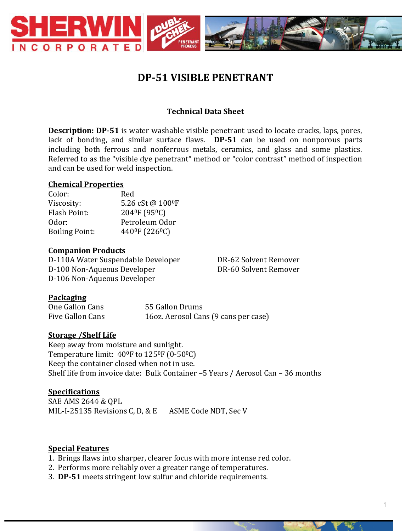

# **DP-51 VISIBLE PENETRANT**

# **Technical Data Sheet**

**Description: DP-51** is water washable visible penetrant used to locate cracks, laps, pores, lack of bonding, and similar surface flaws. **DP-51** can be used on nonporous parts including both ferrous and nonferrous metals, ceramics, and glass and some plastics. Referred to as the "visible dye penetrant" method or "color contrast" method of inspection and can be used for weld inspection.

#### **Chemical Properties**

| Red                                     |
|-----------------------------------------|
| 5.26 cSt@ 100ºF                         |
| 204 <sup>0</sup> F (95 <sup>0</sup> C)  |
| Petroleum Odor                          |
| 440 <sup>°</sup> F (226 <sup>°</sup> C) |
|                                         |

#### **Companion Products**

D-110A Water Suspendable Developer DR-62 Solvent Remover D-100 Non-Aqueous Developer DR-60 Solvent Remover D-106 Non-Aqueous Developer

#### **Packaging**

| One Gallon Cans  | 55 Gallon Drums                      |
|------------------|--------------------------------------|
| Five Gallon Cans | 160z. Aerosol Cans (9 cans per case) |

#### **Storage /Shelf Life**

Keep away from moisture and sunlight. Temperature limit: 40<sup>0</sup>F to 125<sup>0</sup>F (0-50<sup>0</sup>C) Keep the container closed when not in use. Shelf life from invoice date: Bulk Container –5 Years / Aerosol Can – 36 months

#### **Specifications**

SAE AMS 2644 & QPL MIL-I-25135 Revisions C, D, & E ASME Code NDT, Sec V

#### **Special Features**

- 1. Brings flaws into sharper, clearer focus with more intense red color.
- 2. Performs more reliably over a greater range of temperatures.
- 3. **DP-51** meets stringent low sulfur and chloride requirements.